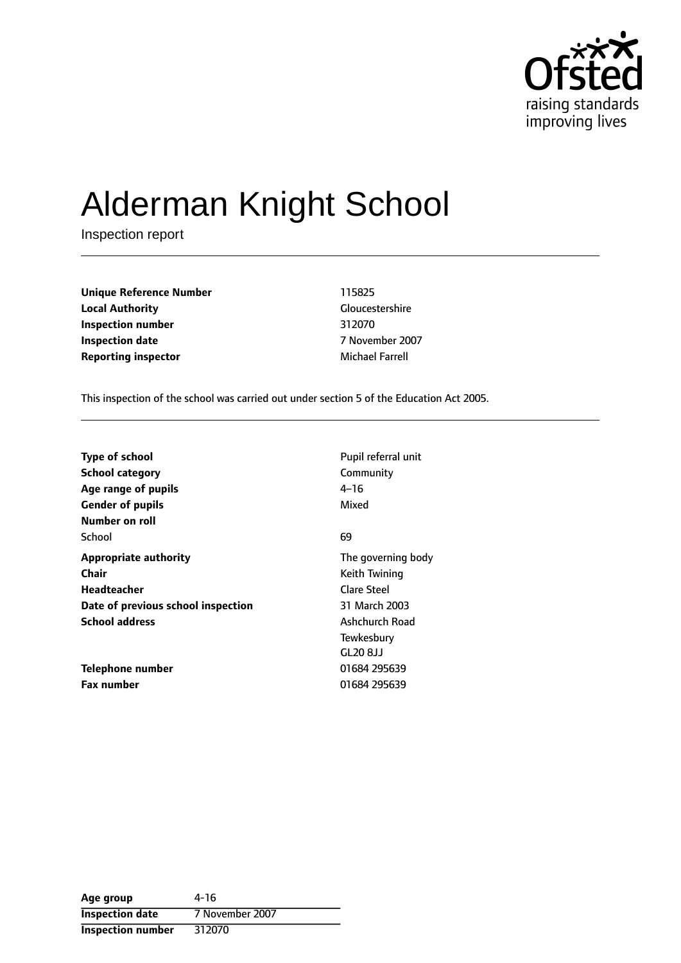

# Alderman Knight School

Inspection report

**Unique Reference Number** 115825 **Local Authority** Gloucestershire **Inspection number** 312070 **Inspection date** 7 November 2007 **Reporting inspector and a structure of the Michael Farrell** 

This inspection of the school was carried out under section 5 of the Education Act 2005.

| <b>Type of school</b>              | Pupil referral unit |
|------------------------------------|---------------------|
| <b>School category</b>             | Community           |
| Age range of pupils                | 4–16                |
| <b>Gender of pupils</b>            | Mixed               |
| Number on roll                     |                     |
| School                             | 69                  |
| <b>Appropriate authority</b>       | The governing body  |
| Chair                              | Keith Twining       |
| Headteacher                        | <b>Clare Steel</b>  |
| Date of previous school inspection | 31 March 2003       |
| <b>School address</b>              | Ashchurch Road      |
|                                    | Tewkesbury          |
|                                    | GL20 8JJ            |
| Telephone number                   | 01684 295639        |
| <b>Fax number</b>                  | 01684 295639        |

| Age group                | 4-16            |
|--------------------------|-----------------|
| <b>Inspection date</b>   | 7 November 2007 |
| <b>Inspection number</b> | 312070          |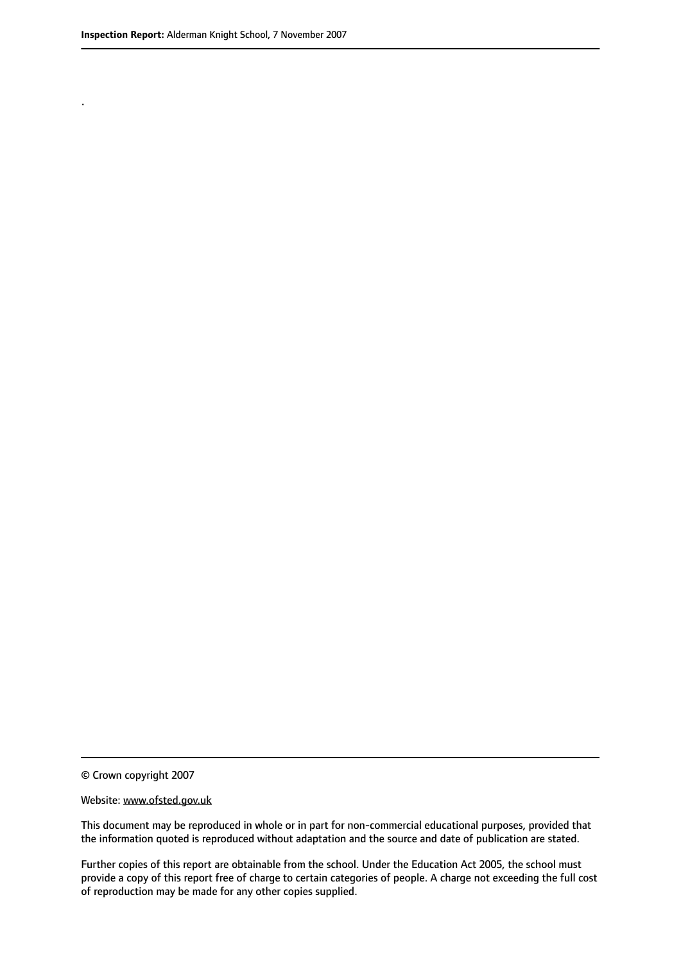.

© Crown copyright 2007

#### Website: www.ofsted.gov.uk

This document may be reproduced in whole or in part for non-commercial educational purposes, provided that the information quoted is reproduced without adaptation and the source and date of publication are stated.

Further copies of this report are obtainable from the school. Under the Education Act 2005, the school must provide a copy of this report free of charge to certain categories of people. A charge not exceeding the full cost of reproduction may be made for any other copies supplied.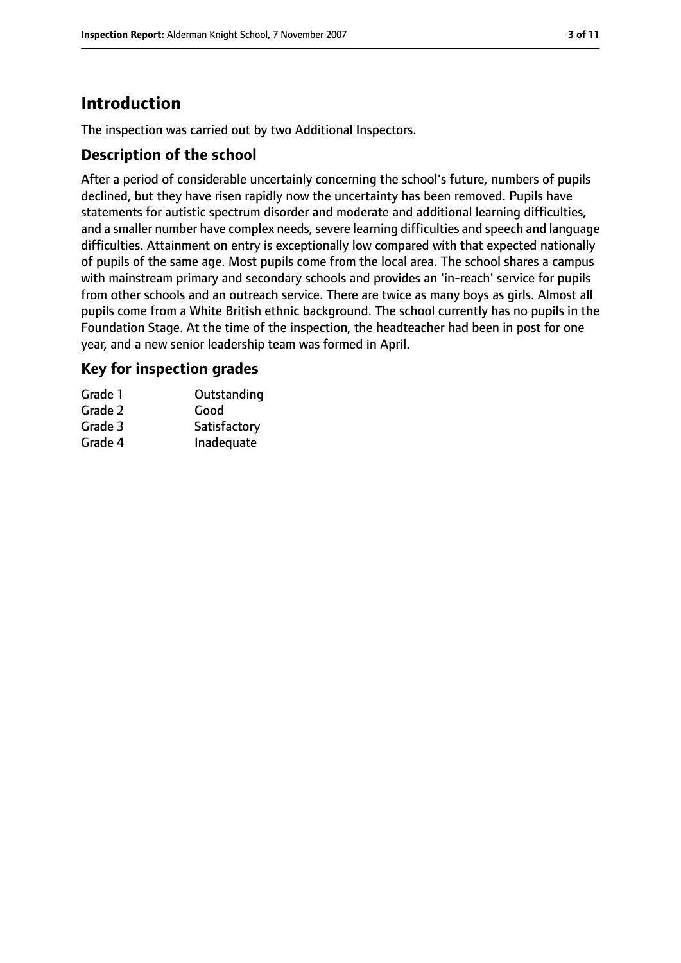# **Introduction**

The inspection was carried out by two Additional Inspectors.

## **Description of the school**

After a period of considerable uncertainly concerning the school's future, numbers of pupils declined, but they have risen rapidly now the uncertainty has been removed. Pupils have statements for autistic spectrum disorder and moderate and additional learning difficulties, and a smaller number have complex needs, severe learning difficulties and speech and language difficulties. Attainment on entry is exceptionally low compared with that expected nationally of pupils of the same age. Most pupils come from the local area. The school shares a campus with mainstream primary and secondary schools and provides an 'in-reach' service for pupils from other schools and an outreach service. There are twice as many boys as girls. Almost all pupils come from a White British ethnic background. The school currently has no pupils in the Foundation Stage. At the time of the inspection, the headteacher had been in post for one year, and a new senior leadership team was formed in April.

## **Key for inspection grades**

| Grade 1 | Outstanding  |
|---------|--------------|
| Grade 2 | Good         |
| Grade 3 | Satisfactory |
| Grade 4 | Inadequate   |
|         |              |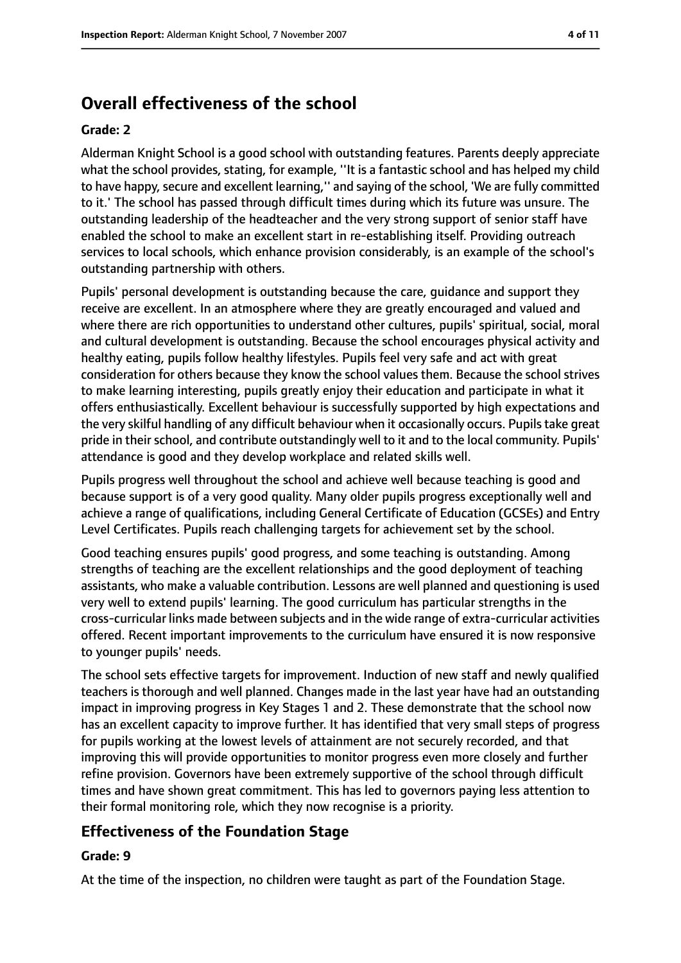# **Overall effectiveness of the school**

#### **Grade: 2**

Alderman Knight School is a good school with outstanding features. Parents deeply appreciate what the school provides, stating, for example, ''It is a fantastic school and has helped my child to have happy, secure and excellent learning," and saying of the school, 'We are fully committed to it.' The school has passed through difficult times during which its future was unsure. The outstanding leadership of the headteacher and the very strong support of senior staff have enabled the school to make an excellent start in re-establishing itself. Providing outreach services to local schools, which enhance provision considerably, is an example of the school's outstanding partnership with others.

Pupils' personal development is outstanding because the care, guidance and support they receive are excellent. In an atmosphere where they are greatly encouraged and valued and where there are rich opportunities to understand other cultures, pupils' spiritual, social, moral and cultural development is outstanding. Because the school encourages physical activity and healthy eating, pupils follow healthy lifestyles. Pupils feel very safe and act with great consideration for others because they know the school values them. Because the school strives to make learning interesting, pupils greatly enjoy their education and participate in what it offers enthusiastically. Excellent behaviour is successfully supported by high expectations and the very skilful handling of any difficult behaviour when it occasionally occurs. Pupils take great pride in their school, and contribute outstandingly well to it and to the local community. Pupils' attendance is good and they develop workplace and related skills well.

Pupils progress well throughout the school and achieve well because teaching is good and because support is of a very good quality. Many older pupils progress exceptionally well and achieve a range of qualifications, including General Certificate of Education (GCSEs) and Entry Level Certificates. Pupils reach challenging targets for achievement set by the school.

Good teaching ensures pupils' good progress, and some teaching is outstanding. Among strengths of teaching are the excellent relationships and the good deployment of teaching assistants, who make a valuable contribution. Lessons are well planned and questioning is used very well to extend pupils' learning. The good curriculum has particular strengths in the cross-curricular links made between subjects and in the wide range of extra-curricular activities offered. Recent important improvements to the curriculum have ensured it is now responsive to younger pupils' needs.

The school sets effective targets for improvement. Induction of new staff and newly qualified teachers is thorough and well planned. Changes made in the last year have had an outstanding impact in improving progress in Key Stages 1 and 2. These demonstrate that the school now has an excellent capacity to improve further. It has identified that very small steps of progress for pupils working at the lowest levels of attainment are not securely recorded, and that improving this will provide opportunities to monitor progress even more closely and further refine provision. Governors have been extremely supportive of the school through difficult times and have shown great commitment. This has led to governors paying less attention to their formal monitoring role, which they now recognise is a priority.

# **Effectiveness of the Foundation Stage**

#### **Grade: 9**

At the time of the inspection, no children were taught as part of the Foundation Stage.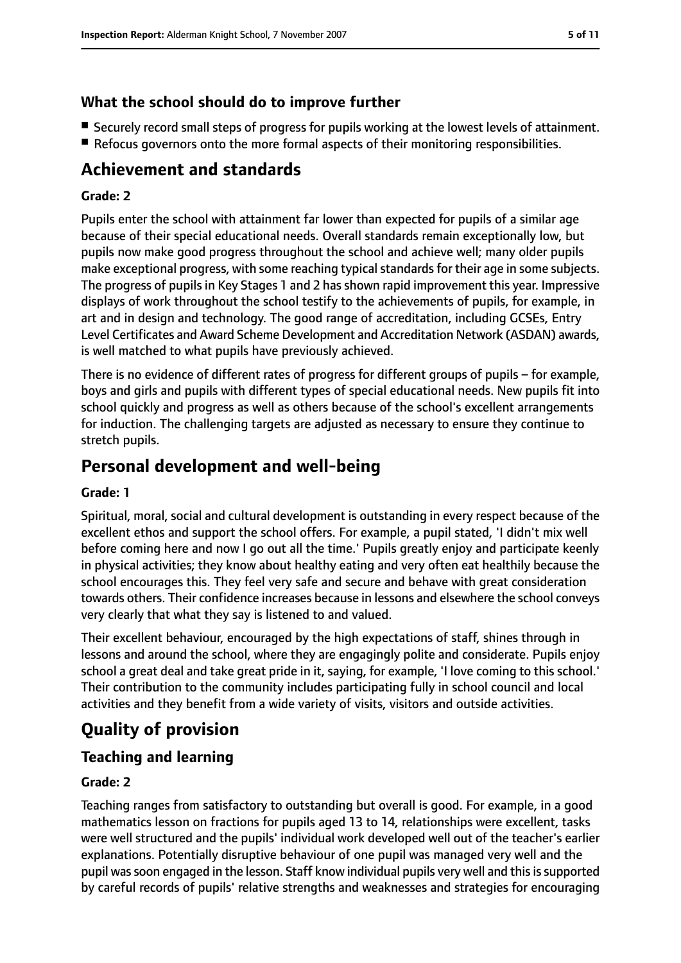## **What the school should do to improve further**

- Securely record small steps of progress for pupils working at the lowest levels of attainment.
- Refocus governors onto the more formal aspects of their monitoring responsibilities.

# **Achievement and standards**

#### **Grade: 2**

Pupils enter the school with attainment far lower than expected for pupils of a similar age because of their special educational needs. Overall standards remain exceptionally low, but pupils now make good progress throughout the school and achieve well; many older pupils make exceptional progress, with some reaching typical standards for their age in some subjects. The progress of pupils in Key Stages 1 and 2 has shown rapid improvement this year. Impressive displays of work throughout the school testify to the achievements of pupils, for example, in art and in design and technology. The good range of accreditation, including GCSEs, Entry Level Certificates and Award Scheme Development and Accreditation Network (ASDAN) awards, is well matched to what pupils have previously achieved.

There is no evidence of different rates of progress for different groups of pupils  $-$  for example, boys and girls and pupils with different types of special educational needs. New pupils fit into school quickly and progress as well as others because of the school's excellent arrangements for induction. The challenging targets are adjusted as necessary to ensure they continue to stretch pupils.

# **Personal development and well-being**

#### **Grade: 1**

Spiritual, moral, social and cultural development is outstanding in every respect because of the excellent ethos and support the school offers. For example, a pupil stated, 'I didn't mix well before coming here and now I go out all the time.' Pupils greatly enjoy and participate keenly in physical activities; they know about healthy eating and very often eat healthily because the school encourages this. They feel very safe and secure and behave with great consideration towards others. Their confidence increases because in lessons and elsewhere the school conveys very clearly that what they say is listened to and valued.

Their excellent behaviour, encouraged by the high expectations of staff, shines through in lessons and around the school, where they are engagingly polite and considerate. Pupils enjoy school a great deal and take great pride in it, saying, for example, 'I love coming to this school.' Their contribution to the community includes participating fully in school council and local activities and they benefit from a wide variety of visits, visitors and outside activities.

# **Quality of provision**

# **Teaching and learning**

#### **Grade: 2**

Teaching ranges from satisfactory to outstanding but overall is good. For example, in a good mathematics lesson on fractions for pupils aged 13 to 14, relationships were excellent, tasks were well structured and the pupils' individual work developed well out of the teacher's earlier explanations. Potentially disruptive behaviour of one pupil was managed very well and the pupil was soon engaged in the lesson. Staff know individual pupils very well and this is supported by careful records of pupils' relative strengths and weaknesses and strategies for encouraging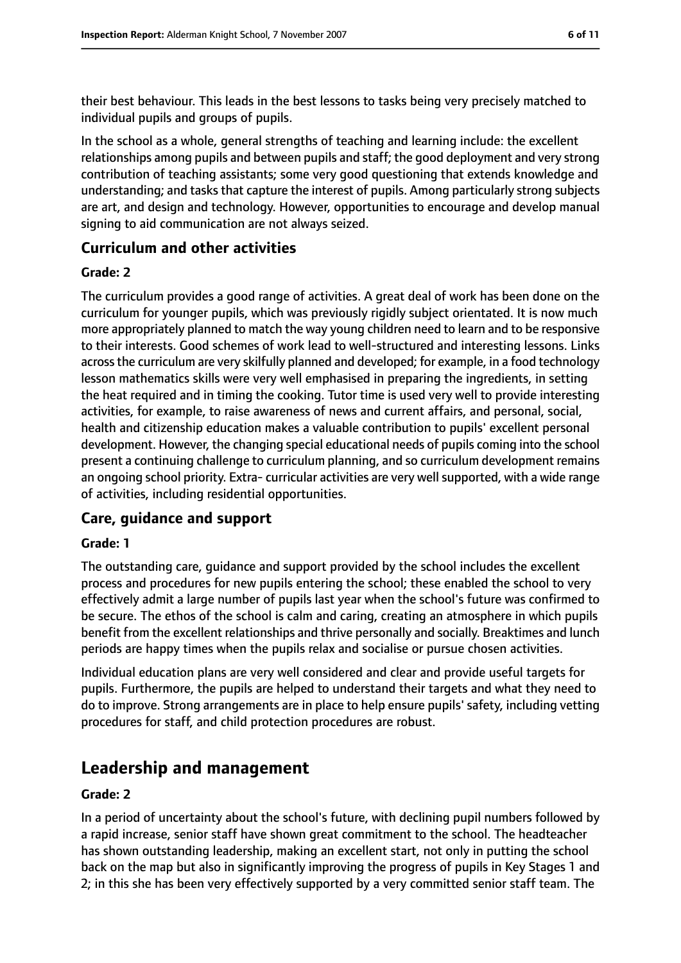their best behaviour. This leads in the best lessons to tasks being very precisely matched to individual pupils and groups of pupils.

In the school as a whole, general strengths of teaching and learning include: the excellent relationships among pupils and between pupils and staff; the good deployment and very strong contribution of teaching assistants; some very good questioning that extends knowledge and understanding; and tasks that capture the interest of pupils. Among particularly strong subjects are art, and design and technology. However, opportunities to encourage and develop manual signing to aid communication are not always seized.

## **Curriculum and other activities**

#### **Grade: 2**

The curriculum provides a good range of activities. A great deal of work has been done on the curriculum for younger pupils, which was previously rigidly subject orientated. It is now much more appropriately planned to match the way young children need to learn and to be responsive to their interests. Good schemes of work lead to well-structured and interesting lessons. Links acrossthe curriculum are very skilfully planned and developed; for example, in a food technology lesson mathematics skills were very well emphasised in preparing the ingredients, in setting the heat required and in timing the cooking. Tutor time is used very well to provide interesting activities, for example, to raise awareness of news and current affairs, and personal, social, health and citizenship education makes a valuable contribution to pupils' excellent personal development. However, the changing special educational needs of pupils coming into the school present a continuing challenge to curriculum planning, and so curriculum development remains an ongoing school priority. Extra- curricular activities are very well supported, with a wide range of activities, including residential opportunities.

# **Care, guidance and support**

#### **Grade: 1**

The outstanding care, guidance and support provided by the school includes the excellent process and procedures for new pupils entering the school; these enabled the school to very effectively admit a large number of pupils last year when the school's future was confirmed to be secure. The ethos of the school is calm and caring, creating an atmosphere in which pupils benefit from the excellent relationships and thrive personally and socially. Breaktimes and lunch periods are happy times when the pupils relax and socialise or pursue chosen activities.

Individual education plans are very well considered and clear and provide useful targets for pupils. Furthermore, the pupils are helped to understand their targets and what they need to do to improve. Strong arrangements are in place to help ensure pupils' safety, including vetting procedures for staff, and child protection procedures are robust.

# **Leadership and management**

#### **Grade: 2**

In a period of uncertainty about the school's future, with declining pupil numbers followed by a rapid increase, senior staff have shown great commitment to the school. The headteacher has shown outstanding leadership, making an excellent start, not only in putting the school back on the map but also in significantly improving the progress of pupils in Key Stages 1 and 2; in this she has been very effectively supported by a very committed senior staff team. The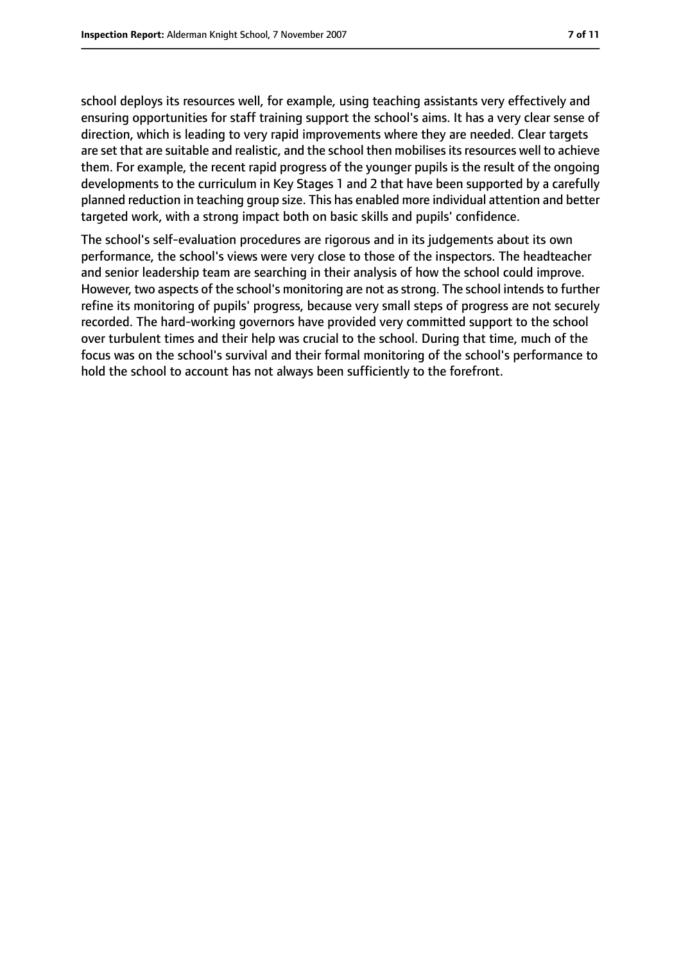school deploys its resources well, for example, using teaching assistants very effectively and ensuring opportunities for staff training support the school's aims. It has a very clear sense of direction, which is leading to very rapid improvements where they are needed. Clear targets are set that are suitable and realistic, and the school then mobilises its resources well to achieve them. For example, the recent rapid progress of the younger pupils is the result of the ongoing developments to the curriculum in Key Stages 1 and 2 that have been supported by a carefully planned reduction in teaching group size. This has enabled more individual attention and better targeted work, with a strong impact both on basic skills and pupils' confidence.

The school's self-evaluation procedures are rigorous and in its judgements about its own performance, the school's views were very close to those of the inspectors. The headteacher and senior leadership team are searching in their analysis of how the school could improve. However, two aspects of the school's monitoring are not as strong. The school intends to further refine its monitoring of pupils' progress, because very small steps of progress are not securely recorded. The hard-working governors have provided very committed support to the school over turbulent times and their help was crucial to the school. During that time, much of the focus was on the school's survival and their formal monitoring of the school's performance to hold the school to account has not always been sufficiently to the forefront.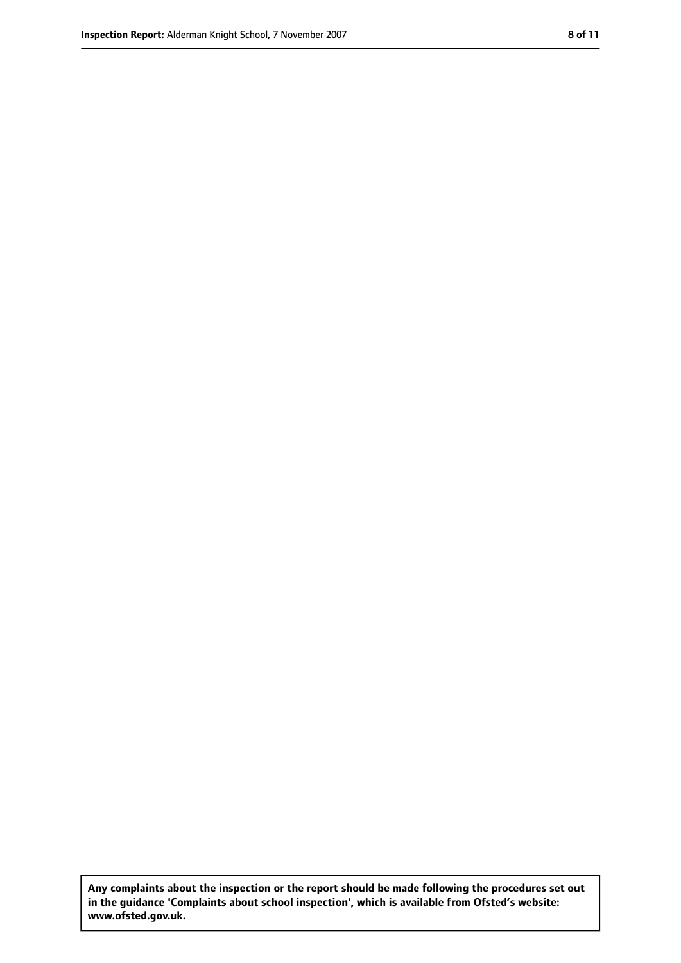**Any complaints about the inspection or the report should be made following the procedures set out in the guidance 'Complaints about school inspection', which is available from Ofsted's website: www.ofsted.gov.uk.**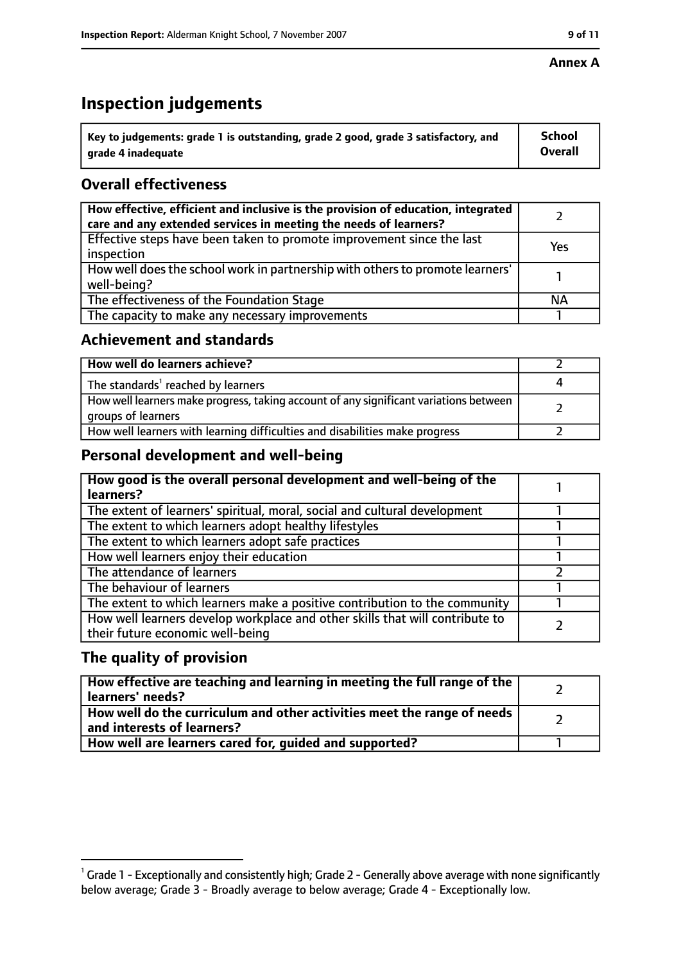#### **Annex A**

# **Inspection judgements**

| $^{\backprime}$ Key to judgements: grade 1 is outstanding, grade 2 good, grade 3 satisfactory, and | <b>School</b>  |
|----------------------------------------------------------------------------------------------------|----------------|
| arade 4 inadequate                                                                                 | <b>Overall</b> |

# **Overall effectiveness**

| How effective, efficient and inclusive is the provision of education, integrated<br>care and any extended services in meeting the needs of learners? |           |
|------------------------------------------------------------------------------------------------------------------------------------------------------|-----------|
| Effective steps have been taken to promote improvement since the last<br>inspection                                                                  | Yes       |
| How well does the school work in partnership with others to promote learners'<br>well-being?                                                         |           |
| The effectiveness of the Foundation Stage                                                                                                            | <b>NA</b> |
| The capacity to make any necessary improvements                                                                                                      |           |

## **Achievement and standards**

| How well do learners achieve?                                                                               |  |
|-------------------------------------------------------------------------------------------------------------|--|
| The standards <sup>1</sup> reached by learners                                                              |  |
| How well learners make progress, taking account of any significant variations between<br>groups of learners |  |
| How well learners with learning difficulties and disabilities make progress                                 |  |

# **Personal development and well-being**

| How good is the overall personal development and well-being of the<br>learners?                                  |  |
|------------------------------------------------------------------------------------------------------------------|--|
| The extent of learners' spiritual, moral, social and cultural development                                        |  |
| The extent to which learners adopt healthy lifestyles                                                            |  |
| The extent to which learners adopt safe practices                                                                |  |
| How well learners enjoy their education                                                                          |  |
| The attendance of learners                                                                                       |  |
| The behaviour of learners                                                                                        |  |
| The extent to which learners make a positive contribution to the community                                       |  |
| How well learners develop workplace and other skills that will contribute to<br>their future economic well-being |  |

# **The quality of provision**

| How effective are teaching and learning in meeting the full range of the<br>learners' needs?          |  |
|-------------------------------------------------------------------------------------------------------|--|
| How well do the curriculum and other activities meet the range of needs<br>and interests of learners? |  |
| How well are learners cared for, quided and supported?                                                |  |

 $^1$  Grade 1 - Exceptionally and consistently high; Grade 2 - Generally above average with none significantly below average; Grade 3 - Broadly average to below average; Grade 4 - Exceptionally low.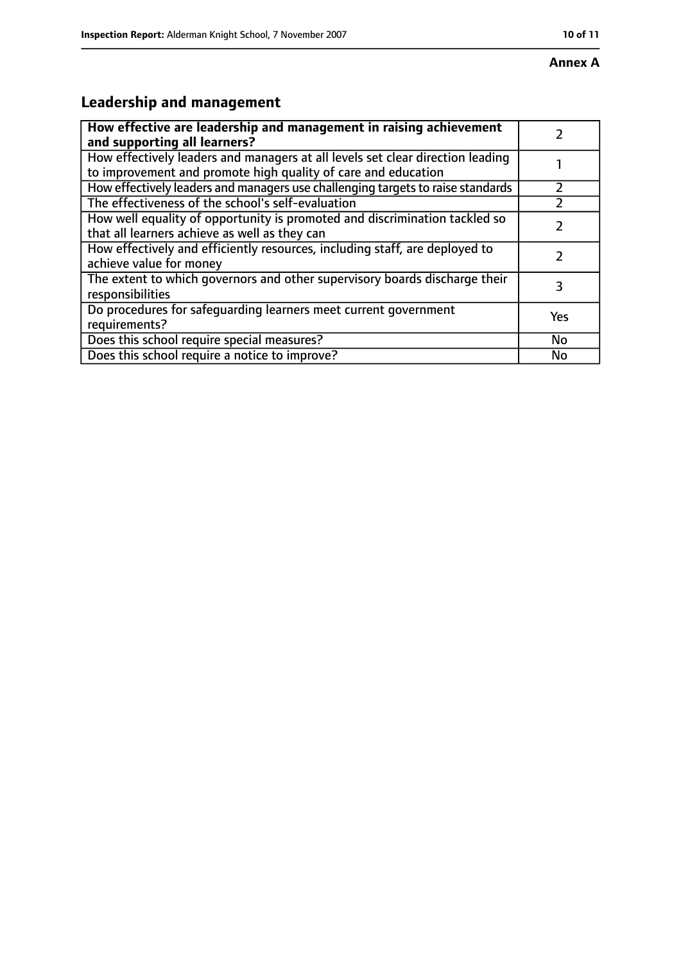# **Annex A**

# **Leadership and management**

| How effective are leadership and management in raising achievement<br>and supporting all learners?                                              |     |
|-------------------------------------------------------------------------------------------------------------------------------------------------|-----|
| How effectively leaders and managers at all levels set clear direction leading<br>to improvement and promote high quality of care and education |     |
| How effectively leaders and managers use challenging targets to raise standards                                                                 |     |
| The effectiveness of the school's self-evaluation                                                                                               |     |
| How well equality of opportunity is promoted and discrimination tackled so<br>that all learners achieve as well as they can                     |     |
| How effectively and efficiently resources, including staff, are deployed to<br>achieve value for money                                          |     |
| The extent to which governors and other supervisory boards discharge their<br>responsibilities                                                  | 3   |
| Do procedures for safequarding learners meet current government<br>requirements?                                                                | Yes |
| Does this school require special measures?                                                                                                      | No  |
| Does this school require a notice to improve?                                                                                                   | No  |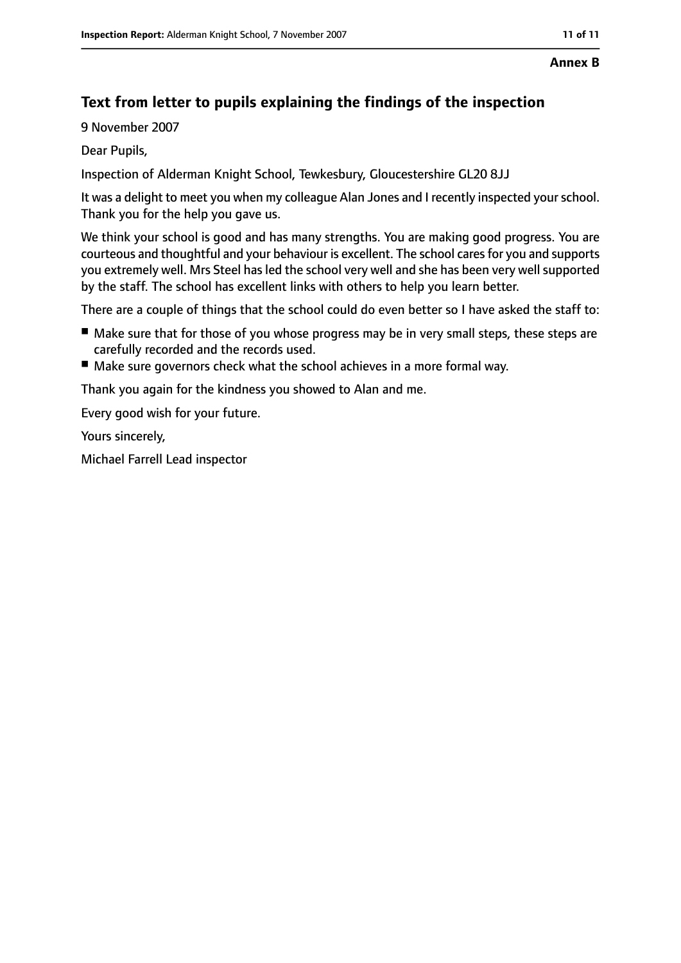#### **Annex B**

# **Text from letter to pupils explaining the findings of the inspection**

9 November 2007

Dear Pupils,

Inspection of Alderman Knight School, Tewkesbury, Gloucestershire GL20 8JJ

It was a delight to meet you when my colleague Alan Jones and I recently inspected yourschool. Thank you for the help you gave us.

We think your school is good and has many strengths. You are making good progress. You are courteous and thoughtful and your behaviour is excellent. The school caresfor you and supports you extremely well. Mrs Steel has led the school very well and she has been very well supported by the staff. The school has excellent links with others to help you learn better.

There are a couple of things that the school could do even better so I have asked the staff to:

- Make sure that for those of you whose progress may be in very small steps, these steps are carefully recorded and the records used.
- Make sure governors check what the school achieves in a more formal way.

Thank you again for the kindness you showed to Alan and me.

Every good wish for your future.

Yours sincerely,

Michael Farrell Lead inspector